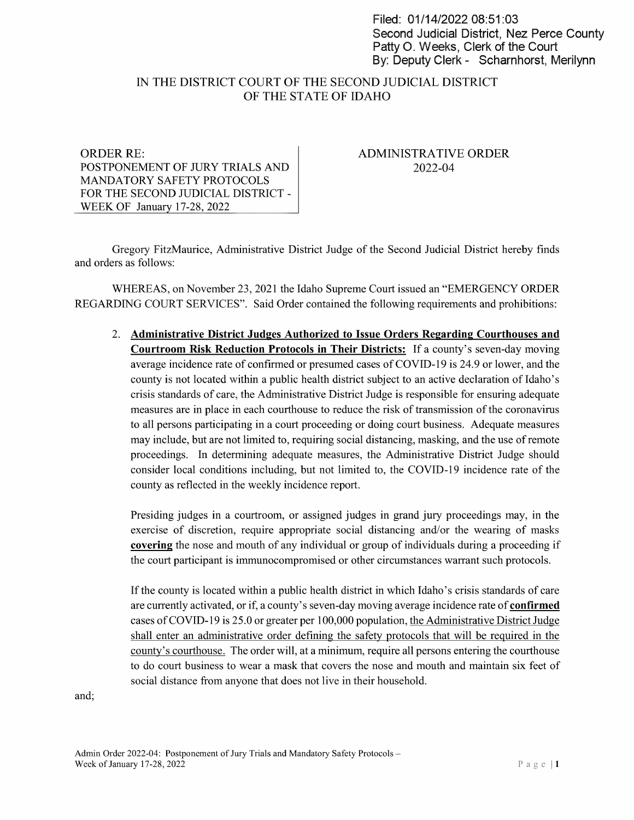Filed: 01/14/2022 08:51:03 Second Judicial District, Nez Perce County Patty O. Weeks, Clerk of the Court By: Deputy Clerk - Scharnhorst, Merilynn

# IN THE DISTRICT COURT OF THE SECOND JUDICIAL DISTRICT OF THE STATE OF IDAHO

#### ORDER RE: POSTPONEMENT OF JURY TRIALS AND MANDATORY SAFETY PROTOCOLS FOR THE SECOND JUDICIAL DISTRICT -WEEK OF January 17-28, <sup>2022</sup>

## ADMINISTRATIVE ORDER 2022-04

Gregory FitzMaurice, Administrative District Judge of the Second Judicial District hereby finds and orders as follows:

WHEREAS, on November 23, <sup>2021</sup> the Idaho Supreme Court issued an "EMERGENCY ORDER REGARDING COURT SERVICES". Said Order contained the following requirements and prohibitions:

2. Administrative District Judges Authorized to Issue Orders Regarding Courthouses and Courtroom Risk Reduction Protocols in Their Districts: If a county's seven-day moving average incidence rate of confirmed or presumed cases of COVID-19 is 24.9 or lower, and the county is not located within a public health district subject to an active declaration of Idaho's crisis standards of care, the Administrative District Judge is responsible for ensuring adequate measures are in place in each courthouse to reduce the risk of transmission of the coronavirus to all persons participating in court proceeding or doing court business. Adequate measures may include, but are not limited to, requiring social distancing, masking, and the use ofremote proceedings. In determining adequate measures, the Administrative District Judge should consider local conditions including, but not limited to, the COVID-19 incidence rate of the county as reflected in the weekly incidence report.

Presiding judges in courtroom, or assigned judges in grand jury proceedings may, in the exercise of discretion, require appropriate social distancing and/or the wearing of masks covering the nose and mouth of any individual or group of individuals during a proceeding if the court participant is immunocompromised or other circumstances warrant such protocols.

If the county is located within a public health district in which Idaho's crisis standards of care are currently activated, or if, a county's seven-day moving average incidence rate of **confirmed** cases of COVID-19 is 25.0 or greater per 100,000 population, the Administrative District Judge shall enter an administrative order defining the safety protocols that will be required in the county's courthouse. The order will, at a minimum, require all persons entering the courthouse to do court business to wear a mask that covers the nose and mouth and maintain six feet of social distance from anyone that does not live in their household.

and;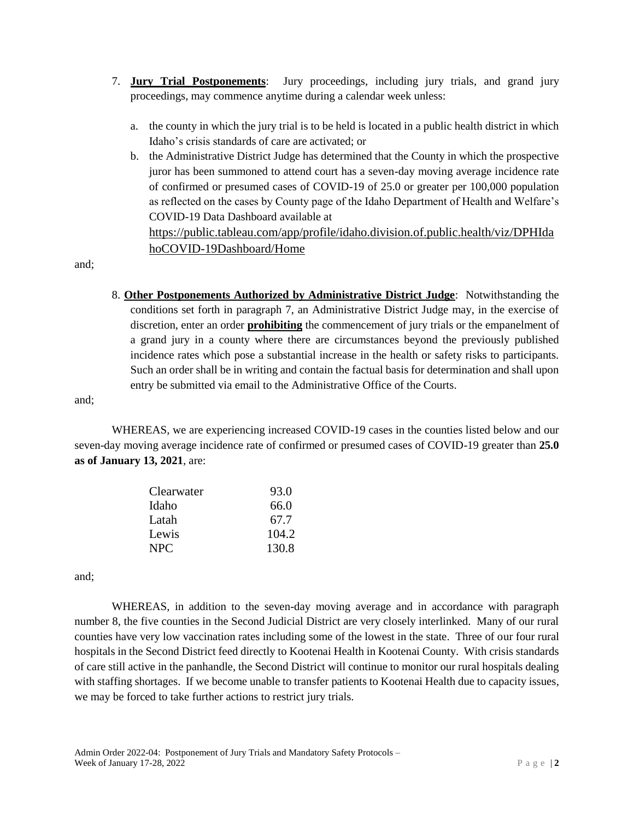- 7. **Jury Trial Postponements**: Jury proceedings, including jury trials, and grand jury proceedings, may commence anytime during a calendar week unless:
	- a. the county in which the jury trial is to be held is located in a public health district in which Idaho's crisis standards of care are activated; or
	- b. the Administrative District Judge has determined that the County in which the prospective juror has been summoned to attend court has a seven-day moving average incidence rate of confirmed or presumed cases of COVID-19 of 25.0 or greater per 100,000 population as reflected on the cases by County page of the Idaho Department of Health and Welfare's COVID-19 Data Dashboard available at [https://public.tableau.com/app/profile/idaho.division.of.public.health/viz/DPHIda](https://public.tableau.com/app/profile/idaho.division.of.public.health/viz/DPHIdahoCOVID-19Dashboard/Home)

[hoCOVID-19Dashboard/Home](https://public.tableau.com/app/profile/idaho.division.of.public.health/viz/DPHIdahoCOVID-19Dashboard/Home)

and;

8. **Other Postponements Authorized by Administrative District Judge**: Notwithstanding the conditions set forth in paragraph 7, an Administrative District Judge may, in the exercise of discretion, enter an order **prohibiting** the commencement of jury trials or the empanelment of a grand jury in a county where there are circumstances beyond the previously published incidence rates which pose a substantial increase in the health or safety risks to participants. Such an order shall be in writing and contain the factual basis for determination and shall upon entry be submitted via email to the Administrative Office of the Courts.

and;

WHEREAS, we are experiencing increased COVID-19 cases in the counties listed below and our seven-day moving average incidence rate of confirmed or presumed cases of COVID-19 greater than **25.0 as of January 13, 2021**, are:

| Clearwater | 93.0  |
|------------|-------|
| Idaho      | 66.0  |
| Latah      | 67.7  |
| Lewis      | 104.2 |
| NPC.       | 130.8 |

and;

WHEREAS, in addition to the seven-day moving average and in accordance with paragraph number 8, the five counties in the Second Judicial District are very closely interlinked. Many of our rural counties have very low vaccination rates including some of the lowest in the state. Three of our four rural hospitals in the Second District feed directly to Kootenai Health in Kootenai County. With crisis standards of care still active in the panhandle, the Second District will continue to monitor our rural hospitals dealing with staffing shortages. If we become unable to transfer patients to Kootenai Health due to capacity issues, we may be forced to take further actions to restrict jury trials.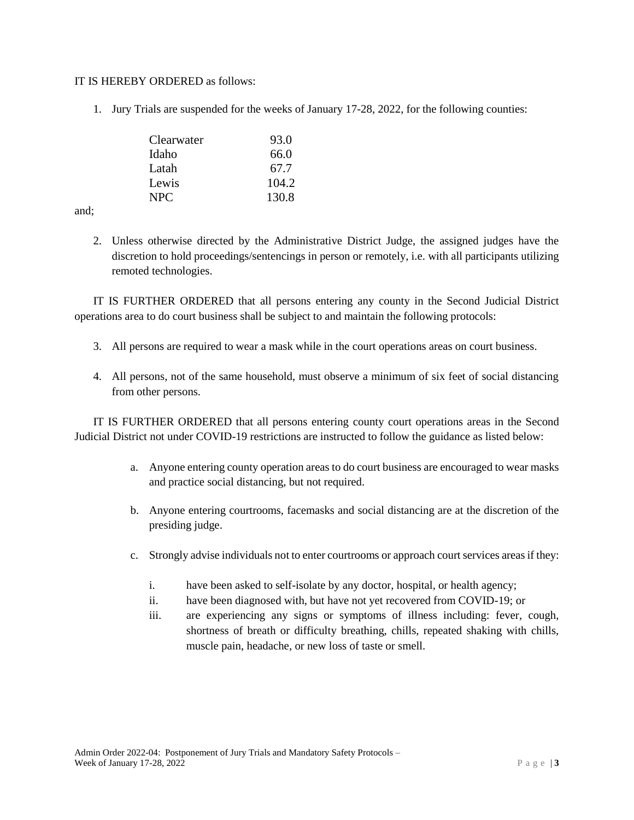#### IT IS HEREBY ORDERED as follows:

1. Jury Trials are suspended for the weeks of January 17-28, 2022, for the following counties:

| Clearwater | 93.0  |
|------------|-------|
| Idaho      | 66.0  |
| Latah      | 67.7  |
| Lewis      | 104.2 |
| NPC.       | 130.8 |

and;

2. Unless otherwise directed by the Administrative District Judge, the assigned judges have the discretion to hold proceedings/sentencings in person or remotely, i.e. with all participants utilizing remoted technologies.

IT IS FURTHER ORDERED that all persons entering any county in the Second Judicial District operations area to do court business shall be subject to and maintain the following protocols:

- 3. All persons are required to wear a mask while in the court operations areas on court business.
- 4. All persons, not of the same household, must observe a minimum of six feet of social distancing from other persons.

IT IS FURTHER ORDERED that all persons entering county court operations areas in the Second Judicial District not under COVID-19 restrictions are instructed to follow the guidance as listed below:

- a. Anyone entering county operation areas to do court business are encouraged to wear masks and practice social distancing, but not required.
- b. Anyone entering courtrooms, facemasks and social distancing are at the discretion of the presiding judge.
- c. Strongly advise individuals not to enter courtrooms or approach court services areas if they:
	- i. have been asked to self-isolate by any doctor, hospital, or health agency;
	- ii. have been diagnosed with, but have not yet recovered from COVID-19; or
	- iii. are experiencing any signs or symptoms of illness including: fever, cough, shortness of breath or difficulty breathing, chills, repeated shaking with chills, muscle pain, headache, or new loss of taste or smell.